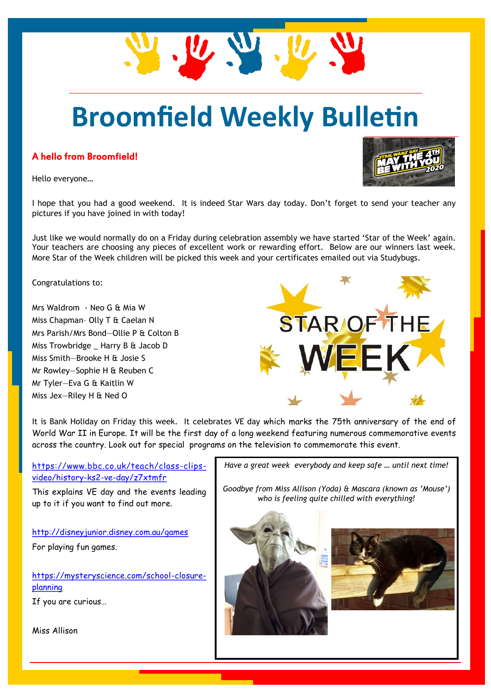# **Broomfield Weekly Bulletin**

### A hello from Broomfield!

Hello everyone…

I hope that you had a good weekend. It is indeed Star Wars day today. Don't forget to send your teacher any pictures if you have joined in with today!

Just like we would normally do on a Friday during celebration assembly we have started 'Star of the Week' again. Your teachers are choosing any pieces of excellent work or rewarding effort. Below are our winners last week. More Star of the Week children will be picked this week and your certificates emailed out via Studybugs.

Congratulations to:

Mrs Waldrom - Neo G & Mia W Miss Chapman– Olly T & Caelan N Mrs Parish/Mrs Bond—Ollie P & Colton B Miss Trowbridge \_ Harry B & Jacob D Miss Smith—Brooke H & Josie S Mr Rowley—Sophie H & Reuben C Mr Tyler—Eva G & Kaitlin W Miss Jex—Riley H & Ned O

It is Bank Holiday on Friday this week. It celebrates VE day which marks the 75th anniversary of the end of World War II in Europe. It will be the first day of a long weekend featuring numerous commemorative events across the country. Look out for special programs on the television to commemorate this event.

[https://www.bbc.co.uk/teach/class-clips](https://www.bbc.co.uk/teach/class-clips-video/history-ks2-ve-day/z7xtmfr)[video/history-ks2-ve-day/z7xtmfr](https://www.bbc.co.uk/teach/class-clips-video/history-ks2-ve-day/z7xtmfr)

This explains VE day and the events leading up to it if you want to find out more.

<http://disneyjunior.disney.com.au/games> For playing fun games.

[https://mysteryscience.com/school-closure](https://mysteryscience.com/school-closure-planning)[planning](https://mysteryscience.com/school-closure-planning)

If you are curious…

Miss Allison

*Have a great week everybody and keep safe … until next time!*

*Goodbye from Miss Allison (Yoda) & Mascara (known as 'Mouse') who is feeling quite chilled with everything!*